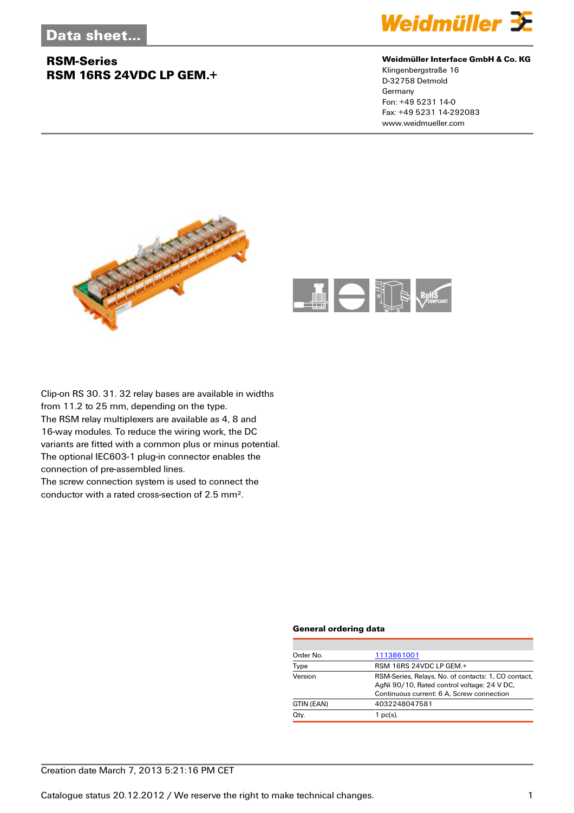## **RSM-Series RSM 16RS 24VDC LP GEM.+**



#### **Weidmüller Interface GmbH & Co. KG**

Klingenbergstraße 16 D-32758 Detmold Germany Fon: +49 5231 14-0 Fax: +49 5231 14-292083 www.weidmueller.com





Clip-on RS 30. 31. 32 relay bases are available in widths from 11.2 to 25 mm, depending on the type. The RSM relay multiplexers are available as 4, 8 and 16-way modules. To reduce the wiring work, the DC variants are fitted with a common plus or minus potential. The optional IEC603-1 plug-in connector enables the connection of pre-assembled lines. The screw connection system is used to connect the

conductor with a rated cross-section of 2.5 mm².

#### **General ordering data**

| Order No.  | 1113861001                                                                                                                                      |
|------------|-------------------------------------------------------------------------------------------------------------------------------------------------|
| Type       | RSM 16RS 24VDC LP GEM.+                                                                                                                         |
| Version    | RSM-Series, Relays, No. of contacts: 1, CO contact,<br>AgNi 90/10, Rated control voltage: 24 V DC,<br>Continuous current: 6 A, Screw connection |
| GTIN (EAN) | 4032248047581                                                                                                                                   |
| Qty.       | $1$ pc(s).                                                                                                                                      |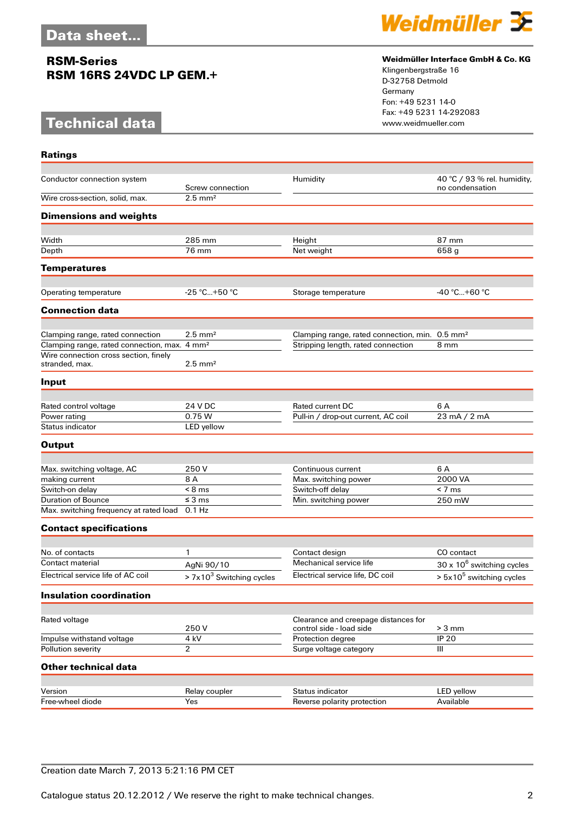### **RSM-Series RSM 16RS 24VDC LP GEM.+**

# **Technical data**



### **Weidmüller Interface GmbH & Co. KG**

Klingenbergstraße 16 D-32758 Detmold Germany Fon: +49 5231 14-0 Fax: +49 5231 14-292083

| <b>Ratings</b>                                           |                            |                                                            |                                                |
|----------------------------------------------------------|----------------------------|------------------------------------------------------------|------------------------------------------------|
| Conductor connection system                              | Screw connection           | Humidity                                                   | 40 °C / 93 % rel. humidity,<br>no condensation |
| Wire cross-section, solid, max.                          | $2.5$ mm <sup>2</sup>      |                                                            |                                                |
| <b>Dimensions and weights</b>                            |                            |                                                            |                                                |
| Width                                                    | 285 mm                     | Height                                                     | 87 mm                                          |
| Depth                                                    | 76 mm                      | Net weight                                                 | 658 g                                          |
| <b>Temperatures</b>                                      |                            |                                                            |                                                |
|                                                          |                            |                                                            |                                                |
| Operating temperature                                    | $-25$ °C+50 °C             | Storage temperature                                        | $-40 °C+60 °C$                                 |
| <b>Connection data</b>                                   |                            |                                                            |                                                |
| Clamping range, rated connection                         | $2.5 \text{ mm}^2$         | Clamping range, rated connection, min. 0.5 mm <sup>2</sup> |                                                |
| Clamping range, rated connection, max. 4 mm <sup>2</sup> |                            | Stripping length, rated connection                         | 8 mm                                           |
| Wire connection cross section, finely<br>stranded, max.  | $2.5 \text{ mm}^2$         |                                                            |                                                |
| Input                                                    |                            |                                                            |                                                |
| Rated control voltage                                    | 24 V DC                    | Rated current DC                                           | 6 A                                            |
| Power rating                                             | 0.75 W                     | Pull-in / drop-out current, AC coil                        | 23 mA / 2 mA                                   |
| Status indicator                                         | LED yellow                 |                                                            |                                                |
| <b>Output</b>                                            |                            |                                                            |                                                |
|                                                          |                            |                                                            |                                                |
| Max. switching voltage, AC                               | 250 V<br>8 A               | Continuous current<br>Max. switching power                 | 6 A<br>2000 VA                                 |
| making current<br>Switch-on delay                        | $< 8$ ms                   | Switch-off delay                                           | $< 7 \text{ ms}$                               |
| <b>Duration of Bounce</b>                                | $\leq$ 3 ms                | Min. switching power                                       | 250 mW                                         |
| Max. switching frequency at rated load                   | 0.1 Hz                     |                                                            |                                                |
| <b>Contact specifications</b>                            |                            |                                                            |                                                |
|                                                          |                            |                                                            |                                                |
| No. of contacts                                          | 1                          | Contact design                                             | CO contact                                     |
| <b>Contact material</b>                                  | AgNi 90/10                 | Mechanical service life                                    | $30 \times 10^6$ switching cycles              |
| Electrical service life of AC coil                       | $> 7x103$ Switching cycles | Electrical service life, DC coil                           | $> 5x105$ switching cycles                     |
| <b>Insulation coordination</b>                           |                            |                                                            |                                                |
| Rated voltage                                            |                            | Clearance and creepage distances for                       |                                                |
|                                                          | 250V                       | control side - load side                                   | $> 3$ mm                                       |
| Impulse withstand voltage                                | 4 kV                       | Protection degree                                          | <b>IP 20</b>                                   |
| Pollution severity                                       | $\overline{2}$             | Surge voltage category                                     | III                                            |
| <b>Other technical data</b>                              |                            |                                                            |                                                |
| Version                                                  | Relay coupler              | Status indicator                                           | LED yellow                                     |
| Free-wheel diode                                         | Yes                        | Reverse polarity protection                                | Available                                      |
|                                                          |                            |                                                            |                                                |